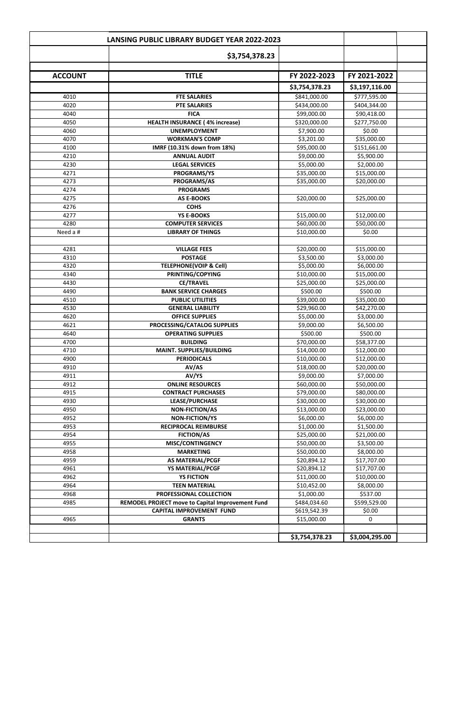|                | <b>LANSING PUBLIC LIBRARY BUDGET YEAR 2022-2023</b> |                |                |  |
|----------------|-----------------------------------------------------|----------------|----------------|--|
|                | \$3,754,378.23                                      |                |                |  |
| <b>ACCOUNT</b> | <b>TITLE</b>                                        | FY 2022-2023   | FY 2021-2022   |  |
|                |                                                     | \$3,754,378.23 | \$3,197,116.00 |  |
| 4010           | <b>FTE SALARIES</b>                                 | \$841,000.00   | \$777,595.00   |  |
| 4020           | <b>PTE SALARIES</b>                                 | \$434,000.00   | \$404,344.00   |  |
| 4040           | <b>FICA</b>                                         | \$99,000.00    | \$90,418.00    |  |
| 4050           | <b>HEALTH INSURANCE (4% increase)</b>               | \$320,000.00   | \$277,750.00   |  |
| 4060           | <b>UNEMPLOYMENT</b>                                 | \$7,900.00     | \$0.00         |  |
| 4070           | <b>WORKMAN'S COMP</b>                               | \$3,201.00     | \$35,000.00    |  |
| 4100           | IMRF (10.31% down from 18%)                         | \$95,000.00    | \$151,661.00   |  |
| 4210           | <b>ANNUAL AUDIT</b>                                 | \$9,000.00     | \$5,900.00     |  |
| 4230           | <b>LEGAL SERVICES</b>                               | \$5,000.00     | \$2,000.00     |  |
| 4271           | <b>PROGRAMS/YS</b>                                  | \$35,000.00    | \$15,000.00    |  |
| 4273           | PROGRAMS/AS                                         | \$35,000.00    | \$20,000.00    |  |
| 4274           | <b>PROGRAMS</b>                                     |                |                |  |
| 4275           | <b>AS E-BOOKS</b>                                   | \$20,000.00    | \$25,000.00    |  |
| 4276           | <b>COHS</b>                                         |                |                |  |
| 4277           | <b>YS E-BOOKS</b>                                   | \$15,000.00    | \$12,000.00    |  |
| 4280           | <b>COMPUTER SERVICES</b>                            | \$60,000.00    | \$50,000.00    |  |
| Need a #       | <b>LIBRARY OF THINGS</b>                            | \$10,000.00    | \$0.00         |  |
|                |                                                     |                |                |  |
| 4281           | <b>VILLAGE FEES</b>                                 | \$20,000.00    | \$15,000.00    |  |
| 4310           | <b>POSTAGE</b>                                      | \$3,500.00     | \$3,000.00     |  |
| 4320           | <b>TELEPHONE(VOIP &amp; Cell)</b>                   | \$5,000.00     | \$6,000.00     |  |
| 4340           | PRINTING/COPYING                                    | \$10,000.00    | \$15,000.00    |  |
| 4430           | <b>CE/TRAVEL</b>                                    | \$25,000.00    | \$25,000.00    |  |
| 4490           | <b>BANK SERVICE CHARGES</b>                         | \$500.00       | \$500.00       |  |
| 4510           | <b>PUBLIC UTILITIES</b>                             | \$39,000.00    | \$35,000.00    |  |
| 4530           | <b>GENERAL LIABILITY</b>                            | \$29,960.00    | \$42,270.00    |  |
| 4620           | <b>OFFICE SUPPLIES</b>                              | \$5,000.00     | \$3,000.00     |  |
| 4621           | PROCESSING/CATALOG SUPPLIES                         | \$9,000.00     | \$6,500.00     |  |
| 4640           | <b>OPERATING SUPPLIES</b>                           | \$500.00       | \$500.00       |  |
| 4700           | <b>BUILDING</b>                                     | \$70,000.00    | \$58,377.00    |  |
| 4710           | <b>MAINT. SUPPLIES/BUILDING</b>                     | \$14,000.00    | \$12,000.00    |  |
| 4900           | <b>PERIODICALS</b>                                  | \$10,000.00    | \$12,000.00    |  |
| 4910           | AV/AS                                               | \$18,000.00    | \$20,000.00    |  |
| 4911           | AV/YS                                               | \$9,000.00     | \$7,000.00     |  |
| 4912           | <b>ONLINE RESOURCES</b>                             | \$60,000.00    | \$50,000.00    |  |
| 4915           | <b>CONTRACT PURCHASES</b>                           | \$79,000.00    | \$80,000.00    |  |
| 4930           | <b>LEASE/PURCHASE</b>                               | \$30,000.00    | \$30,000.00    |  |
| 4950           | <b>NON-FICTION/AS</b>                               | \$13,000.00    | \$23,000.00    |  |
| 4952           | <b>NON-FICTION/YS</b>                               | \$6,000.00     | \$6,000.00     |  |
| 4953           | <b>RECIPROCAL REIMBURSE</b>                         | \$1,000.00     | \$1,500.00     |  |
| 4954           | <b>FICTION/AS</b>                                   | \$25,000.00    | \$21,000.00    |  |
| 4955           | <b>MISC/CONTINGENCY</b>                             | \$50,000.00    | \$3,500.00     |  |
| 4958           | <b>MARKETING</b>                                    | \$50,000.00    | \$8,000.00     |  |
| 4959           | <b>AS MATERIAL/PCGF</b>                             | \$20,894.12    | \$17,707.00    |  |
| 4961           | <b>YS MATERIAL/PCGF</b>                             | \$20,894.12    | \$17,707.00    |  |
| 4962           | <b>YS FICTION</b>                                   | \$11,000.00    | \$10,000.00    |  |
| 4964           | <b>TEEN MATERIAL</b>                                | \$10,452.00    | \$8,000.00     |  |
| 4968           | PROFESSIONAL COLLECTION                             | \$1,000.00     | \$537.00       |  |
| 4985           | REMODEL PROJECT move to Capital Improvement Fund    | \$484,034.60   | \$599,529.00   |  |
|                | <b>CAPITAL IMPROVEMENT FUND</b>                     | \$619,542.39   | \$0.00         |  |
| 4965           | <b>GRANTS</b>                                       | \$15,000.00    | 0              |  |

|  | $\sim$<br>70.23<br>. | .295.00<br>ാ≾.004 <sup>പ</sup> ് |  |
|--|----------------------|----------------------------------|--|